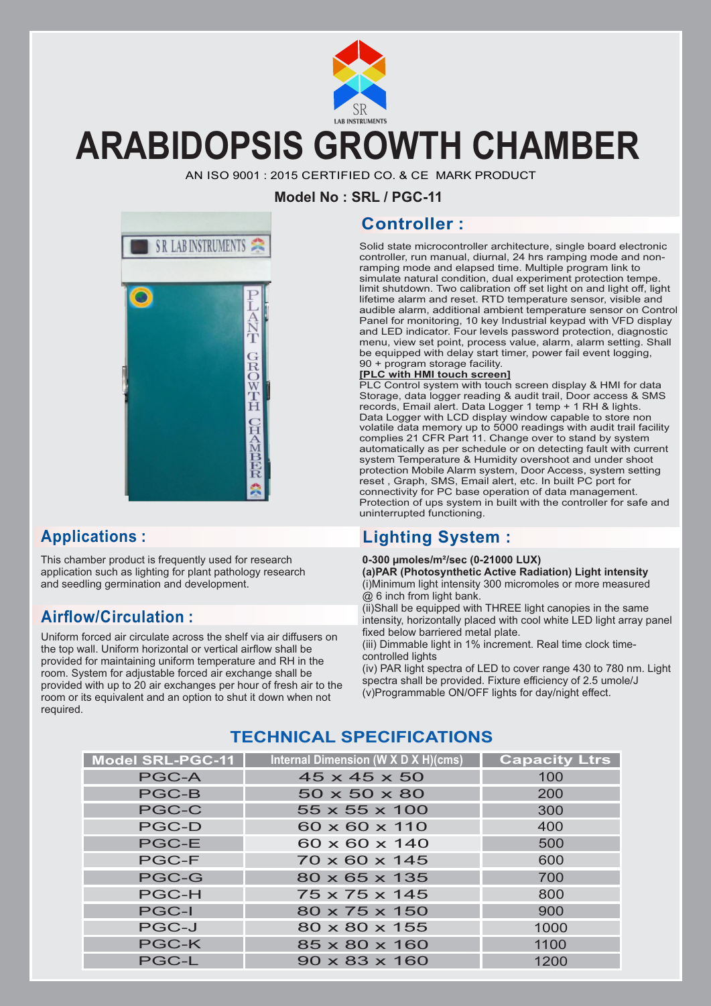

## **ARABIDOPSIS GROWTH CHAMBER**

AN ISO 9001 : 2015 CERTIFIED CO. & CE MARK PRODUCT

**Model No : SRL / PGC-11**

# SR LAB INSTRUMENTS

This chamber product is frequently used for research application such as lighting for plant pathology research and seedling germination and development.

#### **Airflow/Circulation :**

Uniform forced air circulate across the shelf via air diffusers on the top wall. Uniform horizontal or vertical airflow shall be provided for maintaining uniform temperature and RH in the room. System for adjustable forced air exchange shall be provided with up to 20 air exchanges per hour of fresh air to the room or its equivalent and an option to shut it down when not required.

#### **Controller :**

Solid state microcontroller architecture, single board electronic controller, run manual, diurnal, 24 hrs ramping mode and nonramping mode and elapsed time. Multiple program link to simulate natural condition, dual experiment protection tempe. limit shutdown. Two calibration off set light on and light off, light lifetime alarm and reset. RTD temperature sensor, visible and audible alarm, additional ambient temperature sensor on Control Panel for monitoring, 10 key Industrial keypad with VFD display and LED indicator. Four levels password protection, diagnostic menu, view set point, process value, alarm, alarm setting. Shall be equipped with delay start timer, power fail event logging, 90 + program storage facility.

#### **[PLC with HMI touch screen]**

PLC Control system with touch screen display & HMI for data Storage, data logger reading & audit trail, Door access & SMS records, Email alert. Data Logger 1 temp + 1 RH & lights. Data Logger with LCD display window capable to store non volatile data memory up to 5000 readings with audit trail facility complies 21 CFR Part 11. Change over to stand by system automatically as per schedule or on detecting fault with current system Temperature & Humidity overshoot and under shoot protection Mobile Alarm system, Door Access, system setting reset , Graph, SMS, Email alert, etc. In built PC port for connectivity for PC base operation of data management. Protection of ups system in built with the controller for safe and uninterrupted functioning.

#### **Applications : Lighting System :**

#### **0-300 µmoles/m²/sec (0-21000 LUX)**

**(a) PAR (Photosynthetic Active Radiation) Light intensity** (i) Minimum light intensity 300 micromoles or more measured @ 6 inch from light bank.

(ii) Shall be equipped with THREE light canopies in the same intensity, horizontally placed with cool white LED light array panel fixed below barriered metal plate.

(iii) Dimmable light in 1% increment. Real time clock timecontrolled lights

(iv) PAR light spectra of LED to cover range 430 to 780 nm. Light spectra shall be provided. Fixture efficiency of 2.5 umole/J (v) Programmable ON/OFF lights for day/night effect.

#### **TECHNICAL SPECIFICATIONS**

| <b>Model SRL-PGC-11</b> | Internal Dimension (W X D X H)(cms) | <b>Capacity Ltrs</b> |
|-------------------------|-------------------------------------|----------------------|
| <b>PGC-A</b>            | $45 \times 45 \times 50$            | 100                  |
| <b>PGC-B</b>            | $50 \times 50 \times 80$            | 200                  |
| <b>PGC-C</b>            | $55 \times 55 \times 100$           | 300                  |
| <b>PGC-D</b>            | 60 x 60 x 110                       | 400                  |
| <b>PGC-E</b>            | $60 \times 60 \times 140$           | 500                  |
| <b>PGC-F</b>            | $70 \times 60 \times 145$           | 600                  |
| <b>PGC-G</b>            | $80 \times 65 \times 135$           | 700                  |
| <b>PGC-H</b>            | $75 \times 75 \times 145$           | 800                  |
| <b>PGC-I</b>            | $80 \times 75 \times 150$           | 900                  |
| <b>PGC-J</b>            | $80 \times 80 \times 155$           | 1000                 |
| <b>PGC-K</b>            | $85 \times 80 \times 160$           | 1100                 |
| <b>PGC-L</b>            | $90 \times 83 \times 160$           | 1200                 |